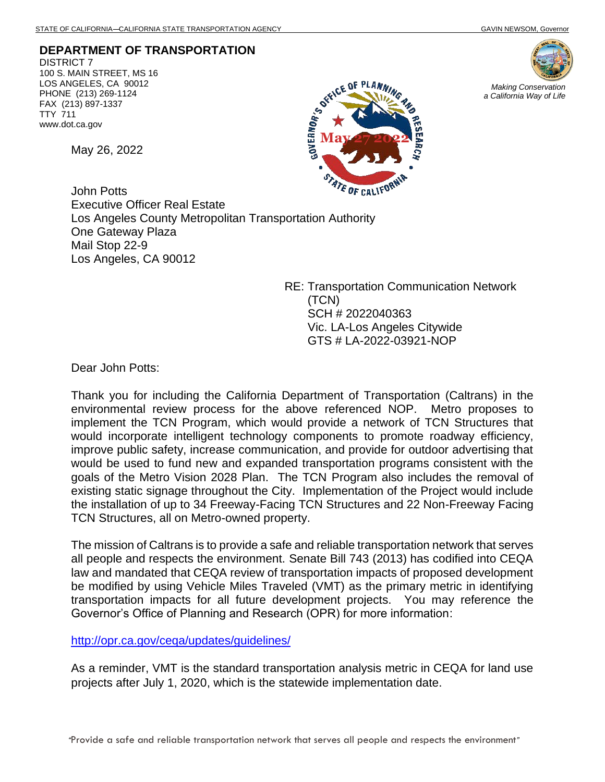**DEPARTMENT OF TRANSPORTATION** DISTRICT 7 100 S. MAIN STREET, MS 16 LOS ANGELES, CA 90012 PHONE (213) 269-1124 FAX (213) 897-1337 TTY 711

May 26, 2022

www.dot.ca.gov





*Making Conservation a California Way of Life*

John Potts Executive Officer Real Estate Los Angeles County Metropolitan Transportation Authority One Gateway Plaza Mail Stop 22-9 Los Angeles, CA 90012

> RE: Transportation Communication Network (TCN) SCH # 2022040363 Vic. LA-Los Angeles Citywide GTS # LA-2022-03921-NOP

Dear John Potts:

Thank you for including the California Department of Transportation (Caltrans) in the environmental review process for the above referenced NOP. Metro proposes to implement the TCN Program, which would provide a network of TCN Structures that would incorporate intelligent technology components to promote roadway efficiency, improve public safety, increase communication, and provide for outdoor advertising that would be used to fund new and expanded transportation programs consistent with the goals of the Metro Vision 2028 Plan. The TCN Program also includes the removal of existing static signage throughout the City. Implementation of the Project would include the installation of up to 34 Freeway-Facing TCN Structures and 22 Non-Freeway Facing TCN Structures, all on Metro-owned property.

The mission of Caltrans is to provide a safe and reliable transportation network that serves all people and respects the environment. Senate Bill 743 (2013) has codified into CEQA law and mandated that CEQA review of transportation impacts of proposed development be modified by using Vehicle Miles Traveled (VMT) as the primary metric in identifying transportation impacts for all future development projects. You may reference the Governor's Office of Planning and Research (OPR) for more information:

<http://opr.ca.gov/ceqa/updates/guidelines/>

As a reminder, VMT is the standard transportation analysis metric in CEQA for land use projects after July 1, 2020, which is the statewide implementation date.